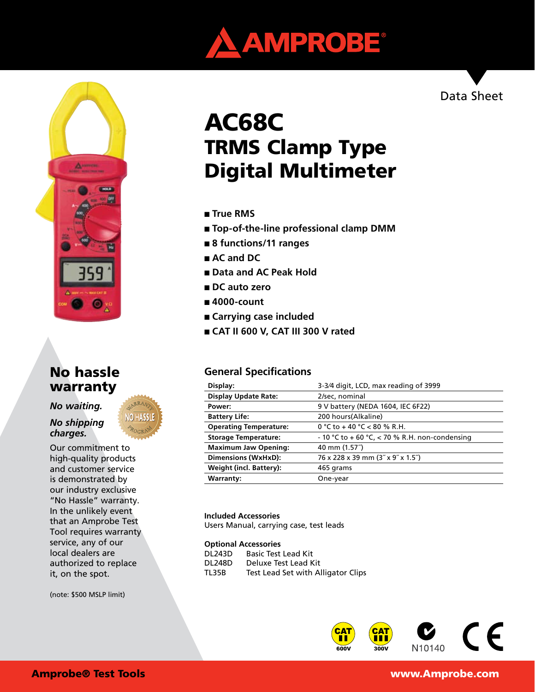



# No hassle warranty

*No waiting.* 

*No shipping charges.*

Our commitment to high-quality products and customer service is demonstrated by our industry exclusive "No Hassle" warranty. In the unlikely event that an Amprobe Test Tool requires warranty service, any of our local dealers are authorized to replace it, on the spot.

(note: \$500 MSLP limit)

# AC68C TRMS Clamp Type Digital Multimeter

- **True RMS**
- **Top-of-the-line professional clamp DMM**
- **8 functions/11 ranges**
- **AC** and **DC**
- **Data and AC Peak Hold**
- **DC** auto zero
- 4000-count
- **Carrying case included**
- **CAT II 600 V, CAT III 300 V rated**

# **General Specifications**

| Display:                      | 3-3/4 digit, LCD, max reading of 3999          |
|-------------------------------|------------------------------------------------|
| <b>Display Update Rate:</b>   | 2/sec, nominal                                 |
| Power:                        | 9 V battery (NEDA 1604, IEC 6F22)              |
| <b>Battery Life:</b>          | 200 hours(Alkaline)                            |
| <b>Operating Temperature:</b> | 0 °C to +40 °C <80 % R.H.                      |
| <b>Storage Temperature:</b>   | - 10 °C to + 60 °C, < 70 % R.H. non-condensing |
| <b>Maximum Jaw Opening:</b>   | 40 mm (1.57")                                  |
| Dimensions (WxHxD):           | 76 x 228 x 39 mm (3" x 9" x 1.5")              |
| Weight (incl. Battery):       | 465 grams                                      |
| <b>Warranty:</b>              | One-year                                       |
|                               |                                                |

#### **Included Accessories**

Users Manual, carrying case, test leads

#### **Optional Accessories**

| DL243D | <b>Basic Test Lead Kit</b>         |
|--------|------------------------------------|
| DL248D | Deluxe Test Lead Kit               |
| TL35B  | Test Lead Set with Alligator Clips |



### Amprobe® Test Tools www.Amprobe.com

Data Sheet